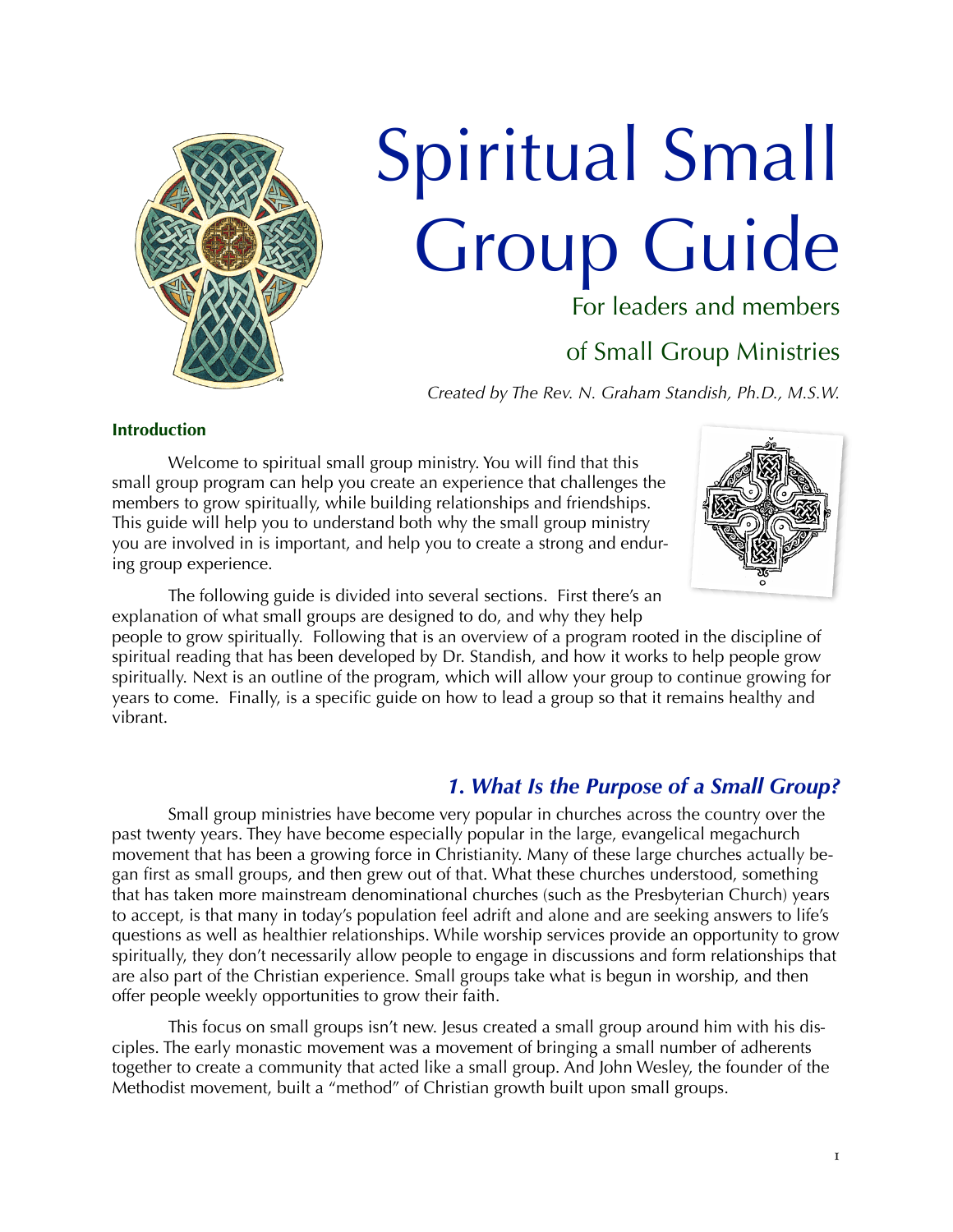

# Spiritual Small Group Guide

For leaders and members

# of Small Group Ministries

*Created by The Rev. N. Graham Standish, Ph.D., M.S.W.* 

## **Introduction**

 Welcome to spiritual small group ministry. You will find that this small group program can help you create an experience that challenges the members to grow spiritually, while building relationships and friendships. This guide will help you to understand both why the small group ministry you are involved in is important, and help you to create a strong and enduring group experience.



 The following guide is divided into several sections. First there's an explanation of what small groups are designed to do, and why they help

people to grow spiritually. Following that is an overview of a program rooted in the discipline of spiritual reading that has been developed by Dr. Standish, and how it works to help people grow spiritually. Next is an outline of the program, which will allow your group to continue growing for years to come. Finally, is a specific guide on how to lead a group so that it remains healthy and vibrant.

# *1. What Is the Purpose of a Small Group?*

 Small group ministries have become very popular in churches across the country over the past twenty years. They have become especially popular in the large, evangelical megachurch movement that has been a growing force in Christianity. Many of these large churches actually began first as small groups, and then grew out of that. What these churches understood, something that has taken more mainstream denominational churches (such as the Presbyterian Church) years to accept, is that many in today's population feel adrift and alone and are seeking answers to life's questions as well as healthier relationships. While worship services provide an opportunity to grow spiritually, they don't necessarily allow people to engage in discussions and form relationships that are also part of the Christian experience. Small groups take what is begun in worship, and then offer people weekly opportunities to grow their faith.

 This focus on small groups isn't new. Jesus created a small group around him with his disciples. The early monastic movement was a movement of bringing a small number of adherents together to create a community that acted like a small group. And John Wesley, the founder of the Methodist movement, built a "method" of Christian growth built upon small groups.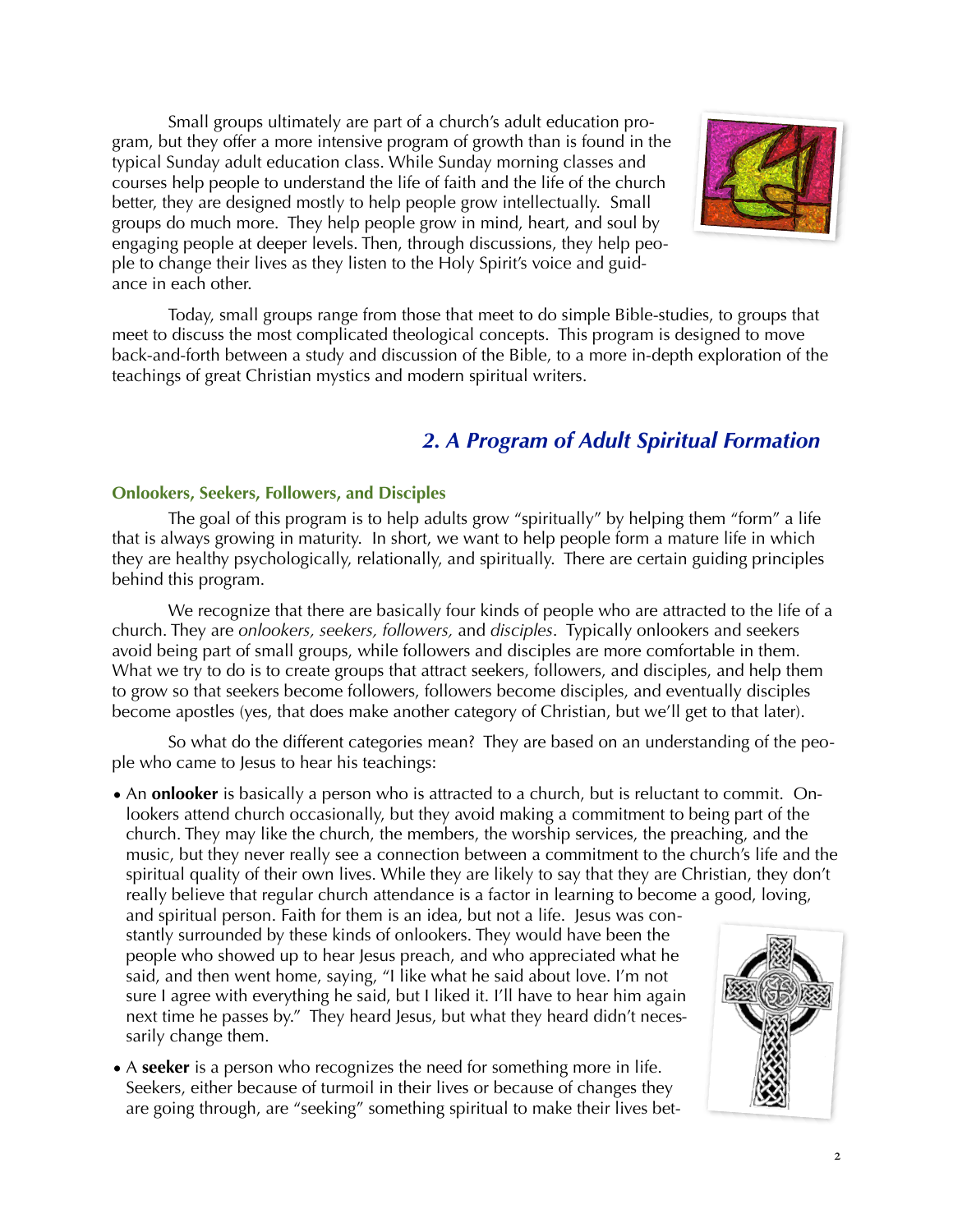Small groups ultimately are part of a church's adult education program, but they offer a more intensive program of growth than is found in the typical Sunday adult education class. While Sunday morning classes and courses help people to understand the life of faith and the life of the church better, they are designed mostly to help people grow intellectually. Small groups do much more. They help people grow in mind, heart, and soul by engaging people at deeper levels. Then, through discussions, they help people to change their lives as they listen to the Holy Spirit's voice and guidance in each other.



 Today, small groups range from those that meet to do simple Bible-studies, to groups that meet to discuss the most complicated theological concepts. This program is designed to move back-and-forth between a study and discussion of the Bible, to a more in-depth exploration of the teachings of great Christian mystics and modern spiritual writers.

# *2. A Program of Adult Spiritual Formation*

## **Onlookers, Seekers, Followers, and Disciples**

 The goal of this program is to help adults grow "spiritually" by helping them "form" a life that is always growing in maturity. In short, we want to help people form a mature life in which they are healthy psychologically, relationally, and spiritually. There are certain guiding principles behind this program.

We recognize that there are basically four kinds of people who are attracted to the life of a church. They are *onlookers, seekers, followers,* and *disciples*. Typically onlookers and seekers avoid being part of small groups, while followers and disciples are more comfortable in them. What we try to do is to create groups that attract seekers, followers, and disciples, and help them to grow so that seekers become followers, followers become disciples, and eventually disciples become apostles (yes, that does make another category of Christian, but we'll get to that later).

 So what do the different categories mean? They are based on an understanding of the people who came to Jesus to hear his teachings:

• An **onlooker** is basically a person who is attracted to a church, but is reluctant to commit. Onlookers attend church occasionally, but they avoid making a commitment to being part of the church. They may like the church, the members, the worship services, the preaching, and the music, but they never really see a connection between a commitment to the church's life and the spiritual quality of their own lives. While they are likely to say that they are Christian, they don't really believe that regular church attendance is a factor in learning to become a good, loving,

and spiritual person. Faith for them is an idea, but not a life. Jesus was constantly surrounded by these kinds of onlookers. They would have been the people who showed up to hear Jesus preach, and who appreciated what he said, and then went home, saying, "I like what he said about love. I'm not sure I agree with everything he said, but I liked it. I'll have to hear him again next time he passes by." They heard Jesus, but what they heard didn't necessarily change them.

• A **seeker** is a person who recognizes the need for something more in life. Seekers, either because of turmoil in their lives or because of changes they are going through, are "seeking" something spiritual to make their lives bet-

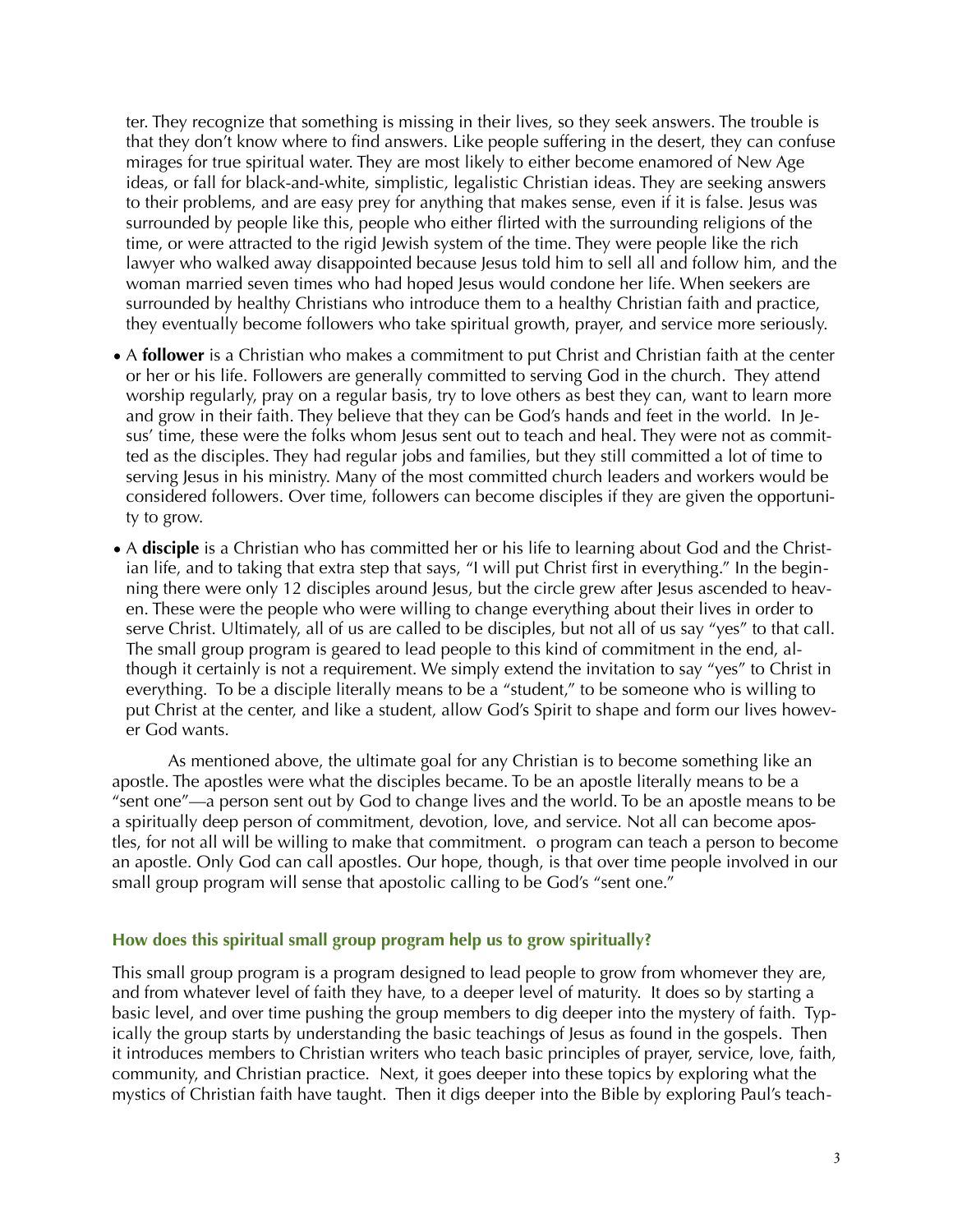ter. They recognize that something is missing in their lives, so they seek answers. The trouble is that they don't know where to find answers. Like people suffering in the desert, they can confuse mirages for true spiritual water. They are most likely to either become enamored of New Age ideas, or fall for black-and-white, simplistic, legalistic Christian ideas. They are seeking answers to their problems, and are easy prey for anything that makes sense, even if it is false. Jesus was surrounded by people like this, people who either flirted with the surrounding religions of the time, or were attracted to the rigid Jewish system of the time. They were people like the rich lawyer who walked away disappointed because Jesus told him to sell all and follow him, and the woman married seven times who had hoped Jesus would condone her life. When seekers are surrounded by healthy Christians who introduce them to a healthy Christian faith and practice, they eventually become followers who take spiritual growth, prayer, and service more seriously.

- A **follower** is a Christian who makes a commitment to put Christ and Christian faith at the center or her or his life. Followers are generally committed to serving God in the church. They attend worship regularly, pray on a regular basis, try to love others as best they can, want to learn more and grow in their faith. They believe that they can be God's hands and feet in the world. In Jesus' time, these were the folks whom Jesus sent out to teach and heal. They were not as committed as the disciples. They had regular jobs and families, but they still committed a lot of time to serving Jesus in his ministry. Many of the most committed church leaders and workers would be considered followers. Over time, followers can become disciples if they are given the opportunity to grow.
- A **disciple** is a Christian who has committed her or his life to learning about God and the Christian life, and to taking that extra step that says, "I will put Christ first in everything." In the beginning there were only 12 disciples around Jesus, but the circle grew after Jesus ascended to heaven. These were the people who were willing to change everything about their lives in order to serve Christ. Ultimately, all of us are called to be disciples, but not all of us say "yes" to that call. The small group program is geared to lead people to this kind of commitment in the end, although it certainly is not a requirement. We simply extend the invitation to say "yes" to Christ in everything. To be a disciple literally means to be a "student," to be someone who is willing to put Christ at the center, and like a student, allow God's Spirit to shape and form our lives however God wants.

 As mentioned above, the ultimate goal for any Christian is to become something like an apostle. The apostles were what the disciples became. To be an apostle literally means to be a "sent one"—a person sent out by God to change lives and the world. To be an apostle means to be a spiritually deep person of commitment, devotion, love, and service. Not all can become apostles, for not all will be willing to make that commitment. o program can teach a person to become an apostle. Only God can call apostles. Our hope, though, is that over time people involved in our small group program will sense that apostolic calling to be God's "sent one."

#### **How does this spiritual small group program help us to grow spiritually?**

This small group program is a program designed to lead people to grow from whomever they are, and from whatever level of faith they have, to a deeper level of maturity. It does so by starting a basic level, and over time pushing the group members to dig deeper into the mystery of faith. Typically the group starts by understanding the basic teachings of Jesus as found in the gospels. Then it introduces members to Christian writers who teach basic principles of prayer, service, love, faith, community, and Christian practice. Next, it goes deeper into these topics by exploring what the mystics of Christian faith have taught. Then it digs deeper into the Bible by exploring Paul's teach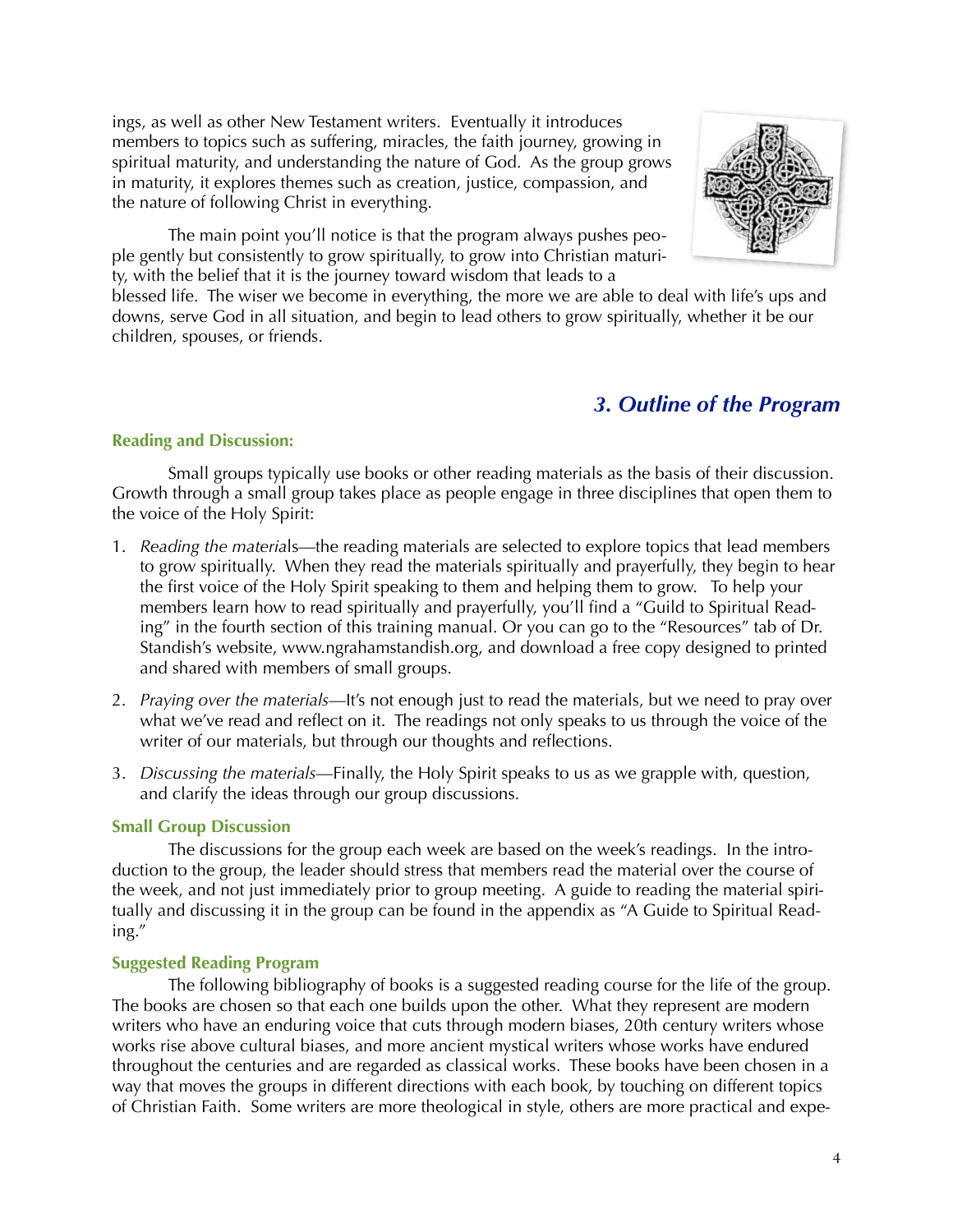ings, as well as other New Testament writers. Eventually it introduces members to topics such as suffering, miracles, the faith journey, growing in spiritual maturity, and understanding the nature of God. As the group grows in maturity, it explores themes such as creation, justice, compassion, and the nature of following Christ in everything.



 The main point you'll notice is that the program always pushes people gently but consistently to grow spiritually, to grow into Christian maturity, with the belief that it is the journey toward wisdom that leads to a

blessed life. The wiser we become in everything, the more we are able to deal with life's ups and downs, serve God in all situation, and begin to lead others to grow spiritually, whether it be our children, spouses, or friends.

# *3. Outline of the Program*

# **Reading and Discussion:**

 Small groups typically use books or other reading materials as the basis of their discussion. Growth through a small group takes place as people engage in three disciplines that open them to the voice of the Holy Spirit:

- 1. *Reading the materia*ls—the reading materials are selected to explore topics that lead members to grow spiritually. When they read the materials spiritually and prayerfully, they begin to hear the first voice of the Holy Spirit speaking to them and helping them to grow. To help your members learn how to read spiritually and prayerfully, you'll find a "Guild to Spiritual Reading" in the fourth section of this training manual. Or you can go to the "Resources" tab of Dr. Standish's website, www.ngrahamstandish.org, and download a free copy designed to printed and shared with members of small groups.
- 2. *Praying over the materials*—It's not enough just to read the materials, but we need to pray over what we've read and reflect on it. The readings not only speaks to us through the voice of the writer of our materials, but through our thoughts and reflections.
- 3. *Discussing the materials*—Finally, the Holy Spirit speaks to us as we grapple with, question, and clarify the ideas through our group discussions.

# **Small Group Discussion**

 The discussions for the group each week are based on the week's readings. In the introduction to the group, the leader should stress that members read the material over the course of the week, and not just immediately prior to group meeting. A guide to reading the material spiritually and discussing it in the group can be found in the appendix as "A Guide to Spiritual Reading."

# **Suggested Reading Program**

 The following bibliography of books is a suggested reading course for the life of the group. The books are chosen so that each one builds upon the other. What they represent are modern writers who have an enduring voice that cuts through modern biases, 20th century writers whose works rise above cultural biases, and more ancient mystical writers whose works have endured throughout the centuries and are regarded as classical works. These books have been chosen in a way that moves the groups in different directions with each book, by touching on different topics of Christian Faith. Some writers are more theological in style, others are more practical and expe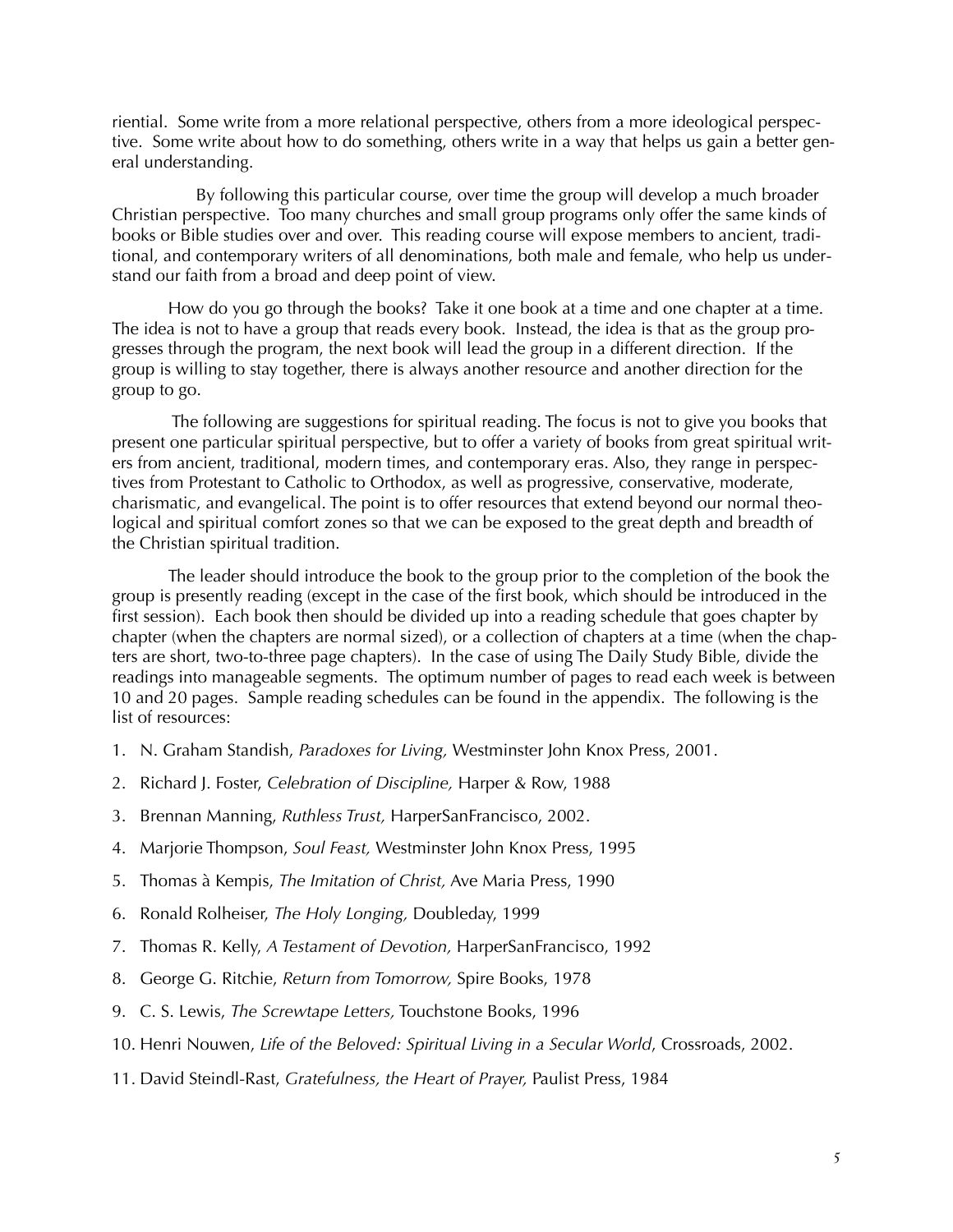riential. Some write from a more relational perspective, others from a more ideological perspective. Some write about how to do something, others write in a way that helps us gain a better general understanding.

 By following this particular course, over time the group will develop a much broader Christian perspective. Too many churches and small group programs only offer the same kinds of books or Bible studies over and over. This reading course will expose members to ancient, traditional, and contemporary writers of all denominations, both male and female, who help us understand our faith from a broad and deep point of view.

 How do you go through the books? Take it one book at a time and one chapter at a time. The idea is not to have a group that reads every book. Instead, the idea is that as the group progresses through the program, the next book will lead the group in a different direction. If the group is willing to stay together, there is always another resource and another direction for the group to go.

 The following are suggestions for spiritual reading. The focus is not to give you books that present one particular spiritual perspective, but to offer a variety of books from great spiritual writers from ancient, traditional, modern times, and contemporary eras. Also, they range in perspectives from Protestant to Catholic to Orthodox, as well as progressive, conservative, moderate, charismatic, and evangelical. The point is to offer resources that extend beyond our normal theological and spiritual comfort zones so that we can be exposed to the great depth and breadth of the Christian spiritual tradition.

 The leader should introduce the book to the group prior to the completion of the book the group is presently reading (except in the case of the first book, which should be introduced in the first session). Each book then should be divided up into a reading schedule that goes chapter by chapter (when the chapters are normal sized), or a collection of chapters at a time (when the chapters are short, two-to-three page chapters). In the case of using The Daily Study Bible, divide the readings into manageable segments. The optimum number of pages to read each week is between 10 and 20 pages. Sample reading schedules can be found in the appendix. The following is the list of resources:

- 1. N. Graham Standish, *Paradoxes for Living,* Westminster John Knox Press, 2001.
- 2. Richard J. Foster, *Celebration of Discipline,* Harper & Row, 1988
- 3. Brennan Manning, *Ruthless Trust,* HarperSanFrancisco, 2002.
- 4. Marjorie Thompson, *Soul Feast,* Westminster John Knox Press, 1995
- 5. Thomas à Kempis, *The Imitation of Christ,* Ave Maria Press, 1990
- 6. Ronald Rolheiser, *The Holy Longing,* Doubleday, 1999
- 7. Thomas R. Kelly, *A Testament of Devotion,* HarperSanFrancisco, 1992
- 8. George G. Ritchie, *Return from Tomorrow,* Spire Books, 1978
- 9. C. S. Lewis, *The Screwtape Letters,* Touchstone Books, 1996
- 10. Henri Nouwen, *Life of the Beloved: Spiritual Living in a Secular World*, Crossroads, 2002.
- 11. David Steindl-Rast, *Gratefulness, the Heart of Prayer,* Paulist Press, 1984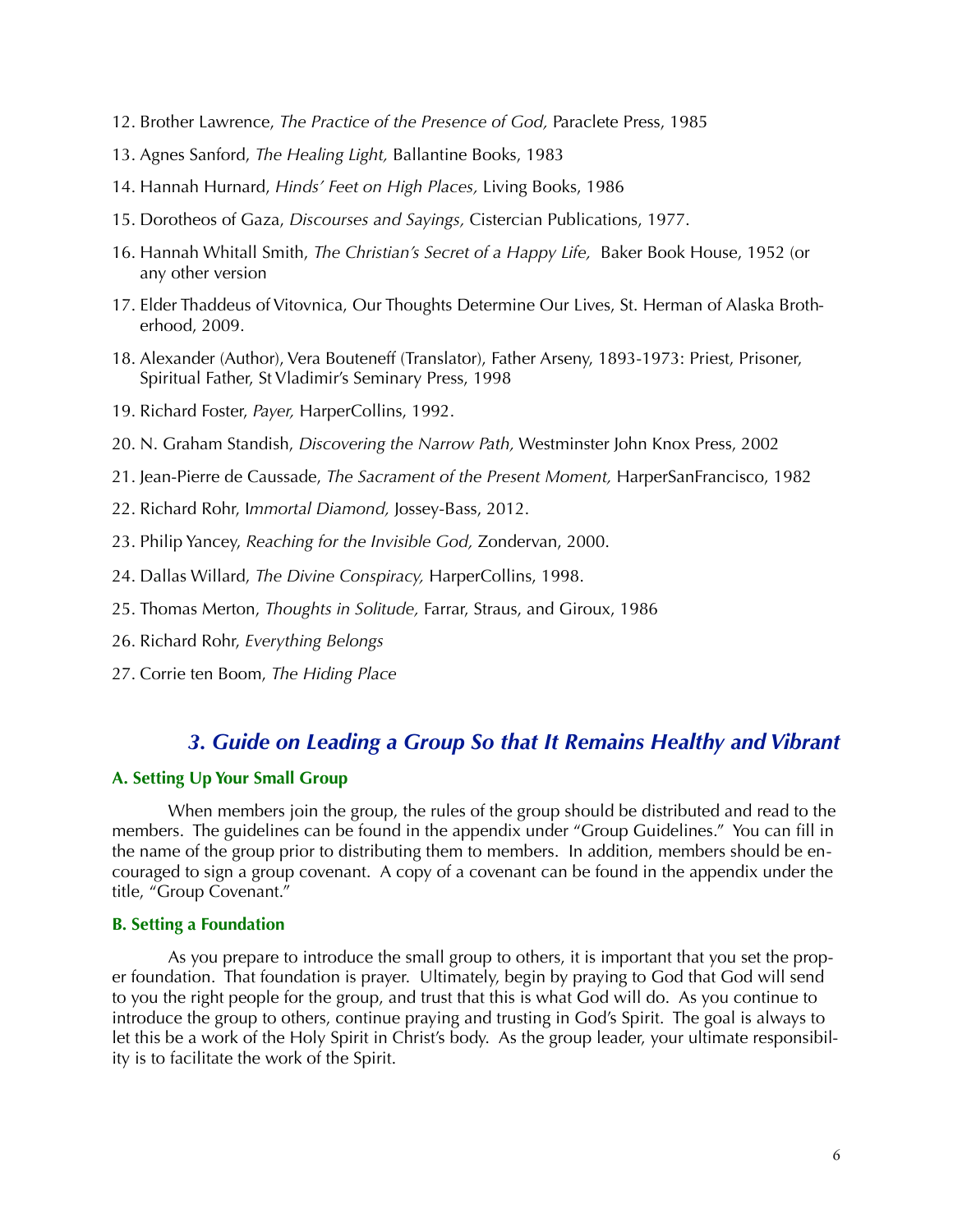- 12. Brother Lawrence, *The Practice of the Presence of God,* Paraclete Press, 1985
- 13. Agnes Sanford, *The Healing Light,* Ballantine Books, 1983
- 14. Hannah Hurnard, *Hinds' Feet on High Places,* Living Books, 1986
- 15. Dorotheos of Gaza, *Discourses and Sayings,* Cistercian Publications, 1977.
- 16. Hannah Whitall Smith, *The Christian's Secret of a Happy Life,* Baker Book House, 1952 (or any other version
- 17. Elder Thaddeus of Vitovnica, Our Thoughts Determine Our Lives, St. Herman of Alaska Brotherhood, 2009.
- 18. Alexander (Author), Vera Bouteneff (Translator), Father Arseny, 1893-1973: Priest, Prisoner, Spiritual Father, St Vladimir's Seminary Press, 1998
- 19. Richard Foster, *Payer,* HarperCollins, 1992.
- 20. N. Graham Standish, *Discovering the Narrow Path,* Westminster John Knox Press, 2002
- 21. Jean-Pierre de Caussade, *The Sacrament of the Present Moment,* HarperSanFrancisco, 1982
- 22. Richard Rohr, I*mmortal Diamond,* Jossey-Bass, 2012.
- 23. Philip Yancey, *Reaching for the Invisible God,* Zondervan, 2000.
- 24. Dallas Willard, *The Divine Conspiracy,* HarperCollins, 1998.
- 25. Thomas Merton, *Thoughts in Solitude,* Farrar, Straus, and Giroux, 1986
- 26. Richard Rohr, *Everything Belongs*
- 27. Corrie ten Boom, *The Hiding Place*

# *3. Guide on Leading a Group So that It Remains Healthy and Vibrant*

### **A. Setting Up Your Small Group**

 When members join the group, the rules of the group should be distributed and read to the members. The guidelines can be found in the appendix under "Group Guidelines." You can fill in the name of the group prior to distributing them to members. In addition, members should be encouraged to sign a group covenant. A copy of a covenant can be found in the appendix under the title, "Group Covenant."

### **B. Setting a Foundation**

 As you prepare to introduce the small group to others, it is important that you set the proper foundation. That foundation is prayer. Ultimately, begin by praying to God that God will send to you the right people for the group, and trust that this is what God will do. As you continue to introduce the group to others, continue praying and trusting in God's Spirit. The goal is always to let this be a work of the Holy Spirit in Christ's body. As the group leader, your ultimate responsibility is to facilitate the work of the Spirit.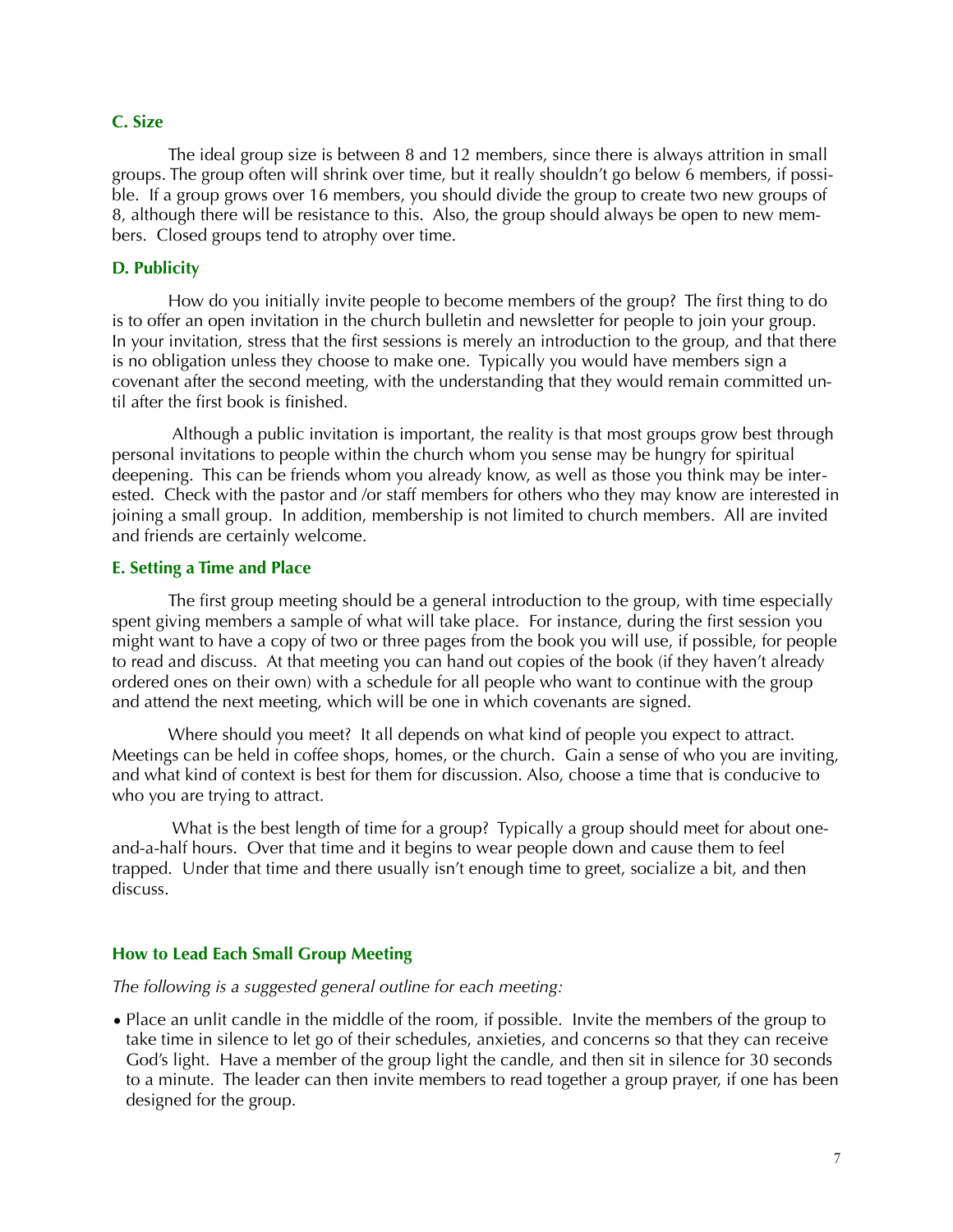#### **C. Size**

 The ideal group size is between 8 and 12 members, since there is always attrition in small groups. The group often will shrink over time, but it really shouldn't go below 6 members, if possible. If a group grows over 16 members, you should divide the group to create two new groups of 8, although there will be resistance to this. Also, the group should always be open to new members. Closed groups tend to atrophy over time.

#### **D. Publicity**

 How do you initially invite people to become members of the group? The first thing to do is to offer an open invitation in the church bulletin and newsletter for people to join your group. In your invitation, stress that the first sessions is merely an introduction to the group, and that there is no obligation unless they choose to make one. Typically you would have members sign a covenant after the second meeting, with the understanding that they would remain committed until after the first book is finished.

 Although a public invitation is important, the reality is that most groups grow best through personal invitations to people within the church whom you sense may be hungry for spiritual deepening. This can be friends whom you already know, as well as those you think may be interested. Check with the pastor and /or staff members for others who they may know are interested in joining a small group. In addition, membership is not limited to church members. All are invited and friends are certainly welcome.

#### **E. Setting a Time and Place**

 The first group meeting should be a general introduction to the group, with time especially spent giving members a sample of what will take place. For instance, during the first session you might want to have a copy of two or three pages from the book you will use, if possible, for people to read and discuss. At that meeting you can hand out copies of the book (if they haven't already ordered ones on their own) with a schedule for all people who want to continue with the group and attend the next meeting, which will be one in which covenants are signed.

 Where should you meet? It all depends on what kind of people you expect to attract. Meetings can be held in coffee shops, homes, or the church. Gain a sense of who you are inviting, and what kind of context is best for them for discussion. Also, choose a time that is conducive to who you are trying to attract.

 What is the best length of time for a group? Typically a group should meet for about oneand-a-half hours. Over that time and it begins to wear people down and cause them to feel trapped. Under that time and there usually isn't enough time to greet, socialize a bit, and then discuss.

### **How to Lead Each Small Group Meeting**

### *The following is a suggested general outline for each meeting:*

• Place an unlit candle in the middle of the room, if possible. Invite the members of the group to take time in silence to let go of their schedules, anxieties, and concerns so that they can receive God's light. Have a member of the group light the candle, and then sit in silence for 30 seconds to a minute. The leader can then invite members to read together a group prayer, if one has been designed for the group.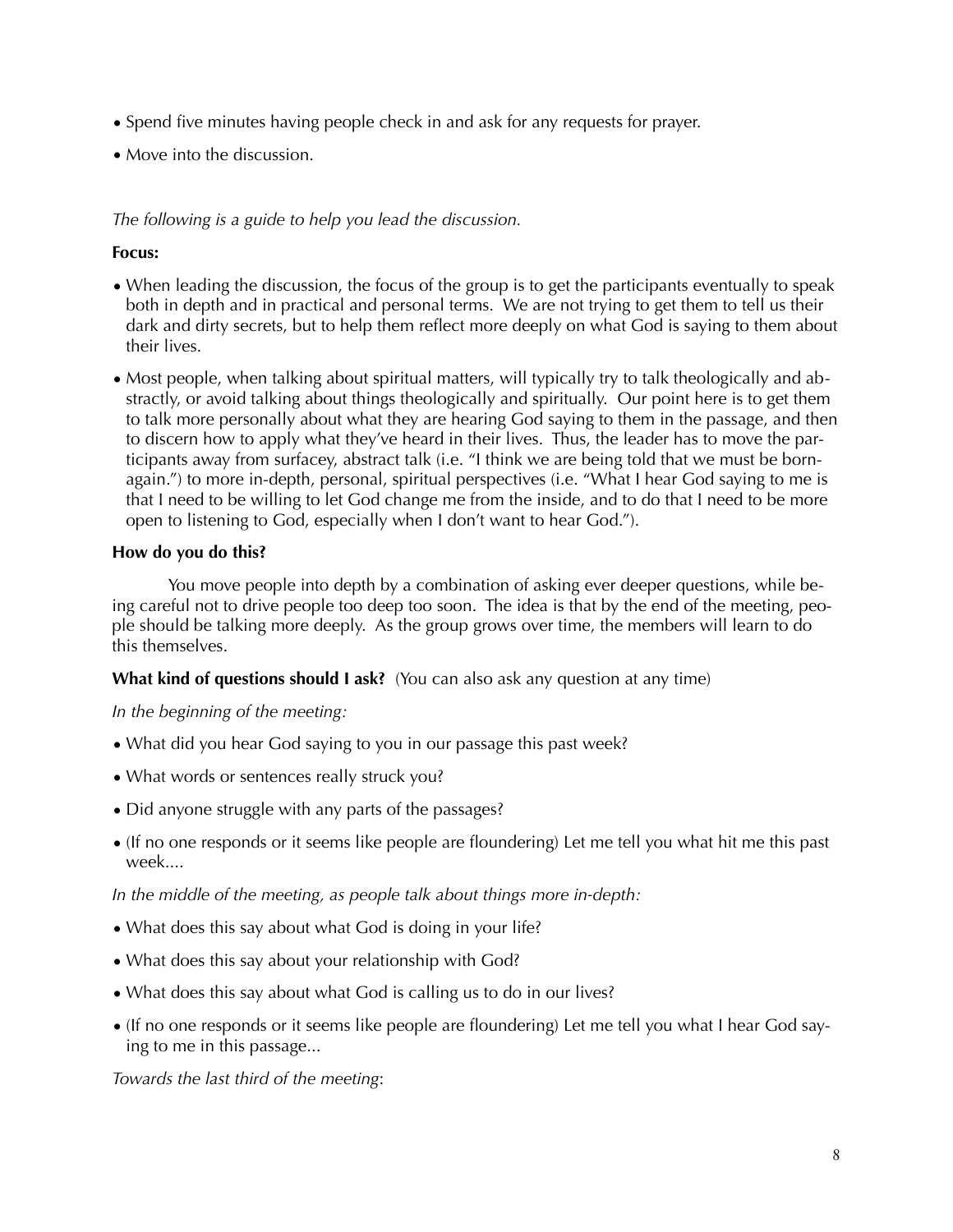- Spend five minutes having people check in and ask for any requests for prayer.
- Move into the discussion.

# *The following is a guide to help you lead the discussion.*

# **Focus:**

- When leading the discussion, the focus of the group is to get the participants eventually to speak both in depth and in practical and personal terms. We are not trying to get them to tell us their dark and dirty secrets, but to help them reflect more deeply on what God is saying to them about their lives.
- Most people, when talking about spiritual matters, will typically try to talk theologically and abstractly, or avoid talking about things theologically and spiritually. Our point here is to get them to talk more personally about what they are hearing God saying to them in the passage, and then to discern how to apply what they've heard in their lives. Thus, the leader has to move the participants away from surfacey, abstract talk (i.e. "I think we are being told that we must be bornagain.") to more in-depth, personal, spiritual perspectives (i.e. "What I hear God saying to me is that I need to be willing to let God change me from the inside, and to do that I need to be more open to listening to God, especially when I don't want to hear God.").

# **How do you do this?**

 You move people into depth by a combination of asking ever deeper questions, while being careful not to drive people too deep too soon. The idea is that by the end of the meeting, people should be talking more deeply. As the group grows over time, the members will learn to do this themselves.

**What kind of questions should I ask?** (You can also ask any question at any time)

# *In the beginning of the meeting:*

- What did you hear God saying to you in our passage this past week?
- What words or sentences really struck you?
- Did anyone struggle with any parts of the passages?
- (If no one responds or it seems like people are floundering) Let me tell you what hit me this past week....

*In the middle of the meeting, as people talk about things more in-depth:* 

- What does this say about what God is doing in your life?
- What does this say about your relationship with God?
- What does this say about what God is calling us to do in our lives?
- (If no one responds or it seems like people are floundering) Let me tell you what I hear God saying to me in this passage...

*Towards the last third of the meeting*: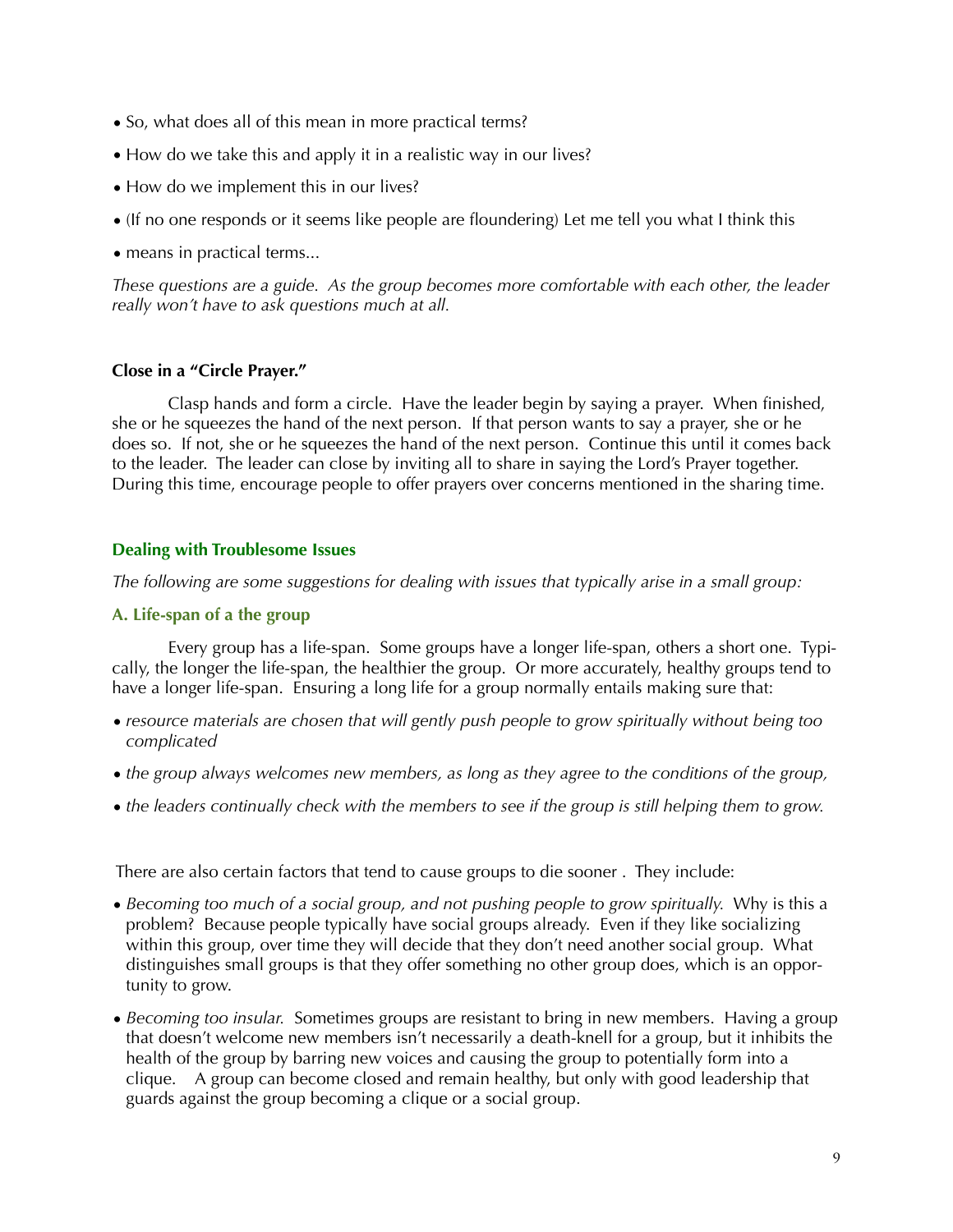- So, what does all of this mean in more practical terms?
- How do we take this and apply it in a realistic way in our lives?
- How do we implement this in our lives?
- (If no one responds or it seems like people are floundering) Let me tell you what I think this
- means in practical terms...

*These questions are a guide. As the group becomes more comfortable with each other, the leader really won't have to ask questions much at all.* 

## **Close in a "Circle Prayer."**

 Clasp hands and form a circle. Have the leader begin by saying a prayer. When finished, she or he squeezes the hand of the next person. If that person wants to say a prayer, she or he does so. If not, she or he squeezes the hand of the next person. Continue this until it comes back to the leader. The leader can close by inviting all to share in saying the Lord's Prayer together. During this time, encourage people to offer prayers over concerns mentioned in the sharing time.

## **Dealing with Troublesome Issues**

*The following are some suggestions for dealing with issues that typically arise in a small group:* 

## **A. Life-span of a the group**

 Every group has a life-span. Some groups have a longer life-span, others a short one. Typically, the longer the life-span, the healthier the group. Or more accurately, healthy groups tend to have a longer life-span. Ensuring a long life for a group normally entails making sure that:

- *resource materials are chosen that will gently push people to grow spiritually without being too complicated*
- *the group always welcomes new members, as long as they agree to the conditions of the group,*
- *the leaders continually check with the members to see if the group is still helping them to grow.*

There are also certain factors that tend to cause groups to die sooner . They include:

- *Becoming too much of a social group, and not pushing people to grow spiritually.* Why is this a problem? Because people typically have social groups already. Even if they like socializing within this group, over time they will decide that they don't need another social group. What distinguishes small groups is that they offer something no other group does, which is an opportunity to grow.
- *Becoming too insular.* Sometimes groups are resistant to bring in new members. Having a group that doesn't welcome new members isn't necessarily a death-knell for a group, but it inhibits the health of the group by barring new voices and causing the group to potentially form into a clique. A group can become closed and remain healthy, but only with good leadership that guards against the group becoming a clique or a social group.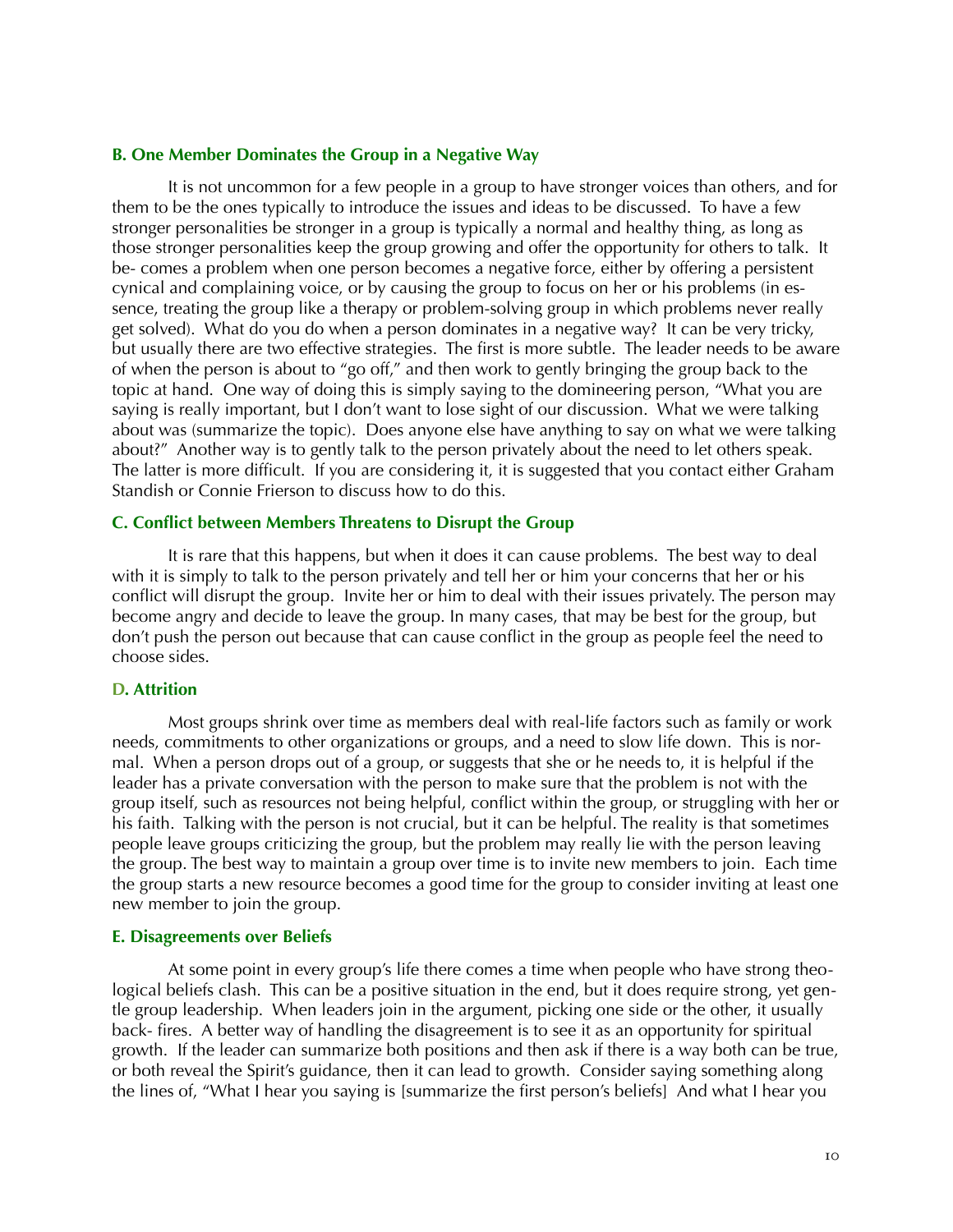#### **B. One Member Dominates the Group in a Negative Way**

 It is not uncommon for a few people in a group to have stronger voices than others, and for them to be the ones typically to introduce the issues and ideas to be discussed. To have a few stronger personalities be stronger in a group is typically a normal and healthy thing, as long as those stronger personalities keep the group growing and offer the opportunity for others to talk. It be- comes a problem when one person becomes a negative force, either by offering a persistent cynical and complaining voice, or by causing the group to focus on her or his problems (in essence, treating the group like a therapy or problem-solving group in which problems never really get solved). What do you do when a person dominates in a negative way? It can be very tricky, but usually there are two effective strategies. The first is more subtle. The leader needs to be aware of when the person is about to "go off," and then work to gently bringing the group back to the topic at hand. One way of doing this is simply saying to the domineering person, "What you are saying is really important, but I don't want to lose sight of our discussion. What we were talking about was (summarize the topic). Does anyone else have anything to say on what we were talking about?" Another way is to gently talk to the person privately about the need to let others speak. The latter is more difficult. If you are considering it, it is suggested that you contact either Graham Standish or Connie Frierson to discuss how to do this.

#### **C. Conflict between Members Threatens to Disrupt the Group**

 It is rare that this happens, but when it does it can cause problems. The best way to deal with it is simply to talk to the person privately and tell her or him your concerns that her or his conflict will disrupt the group. Invite her or him to deal with their issues privately. The person may become angry and decide to leave the group. In many cases, that may be best for the group, but don't push the person out because that can cause conflict in the group as people feel the need to choose sides.

#### **D. Attrition**

 Most groups shrink over time as members deal with real-life factors such as family or work needs, commitments to other organizations or groups, and a need to slow life down. This is normal. When a person drops out of a group, or suggests that she or he needs to, it is helpful if the leader has a private conversation with the person to make sure that the problem is not with the group itself, such as resources not being helpful, conflict within the group, or struggling with her or his faith. Talking with the person is not crucial, but it can be helpful. The reality is that sometimes people leave groups criticizing the group, but the problem may really lie with the person leaving the group. The best way to maintain a group over time is to invite new members to join. Each time the group starts a new resource becomes a good time for the group to consider inviting at least one new member to join the group.

#### **E. Disagreements over Beliefs**

 At some point in every group's life there comes a time when people who have strong theological beliefs clash. This can be a positive situation in the end, but it does require strong, yet gentle group leadership. When leaders join in the argument, picking one side or the other, it usually back- fires. A better way of handling the disagreement is to see it as an opportunity for spiritual growth. If the leader can summarize both positions and then ask if there is a way both can be true, or both reveal the Spirit's guidance, then it can lead to growth. Consider saying something along the lines of, "What I hear you saying is [summarize the first person's beliefs] And what I hear you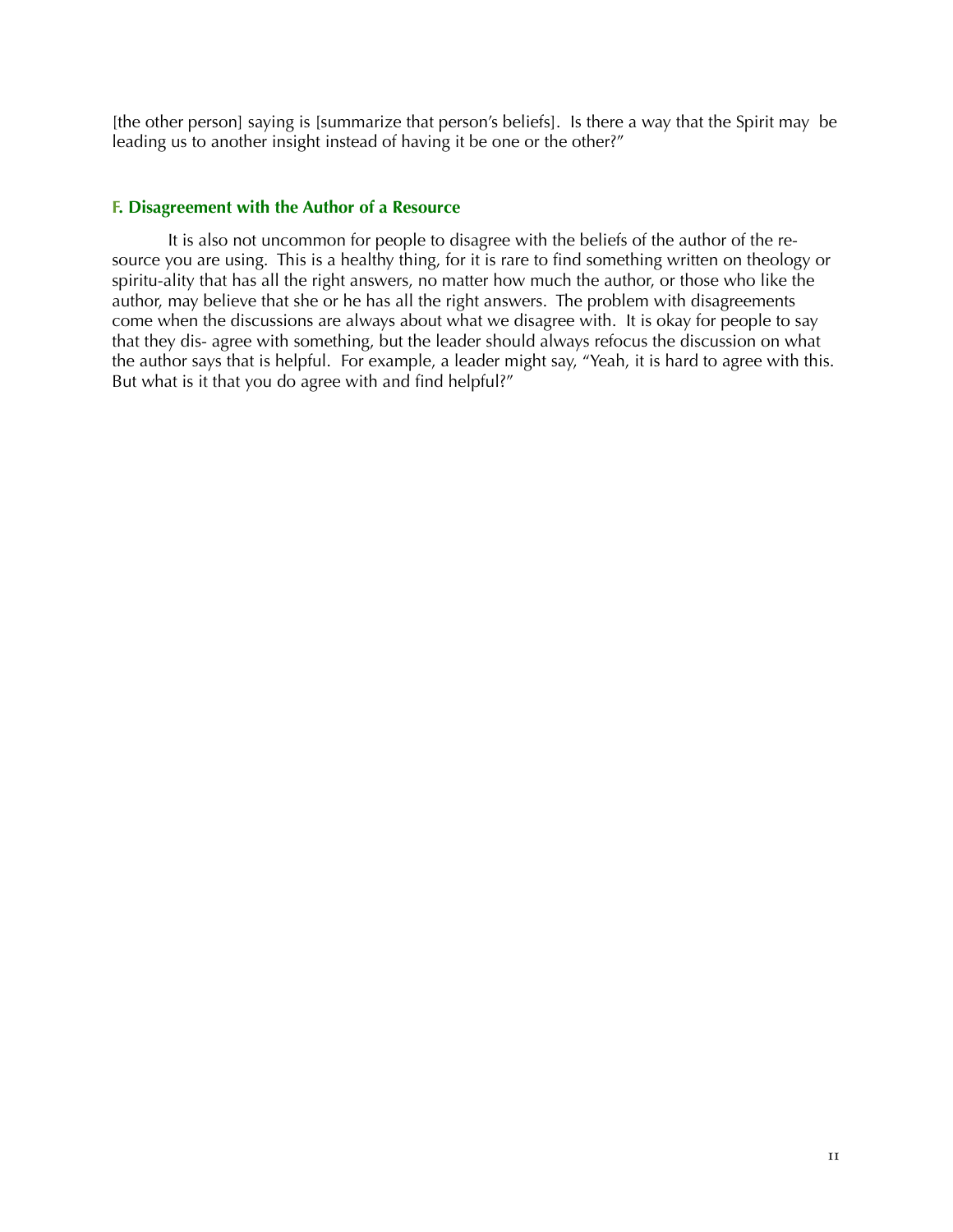[the other person] saying is [summarize that person's beliefs]. Is there a way that the Spirit may be leading us to another insight instead of having it be one or the other?"

#### **F. Disagreement with the Author of a Resource**

 It is also not uncommon for people to disagree with the beliefs of the author of the resource you are using. This is a healthy thing, for it is rare to find something written on theology or spiritu-ality that has all the right answers, no matter how much the author, or those who like the author, may believe that she or he has all the right answers. The problem with disagreements come when the discussions are always about what we disagree with. It is okay for people to say that they dis- agree with something, but the leader should always refocus the discussion on what the author says that is helpful. For example, a leader might say, "Yeah, it is hard to agree with this. But what is it that you do agree with and find helpful?"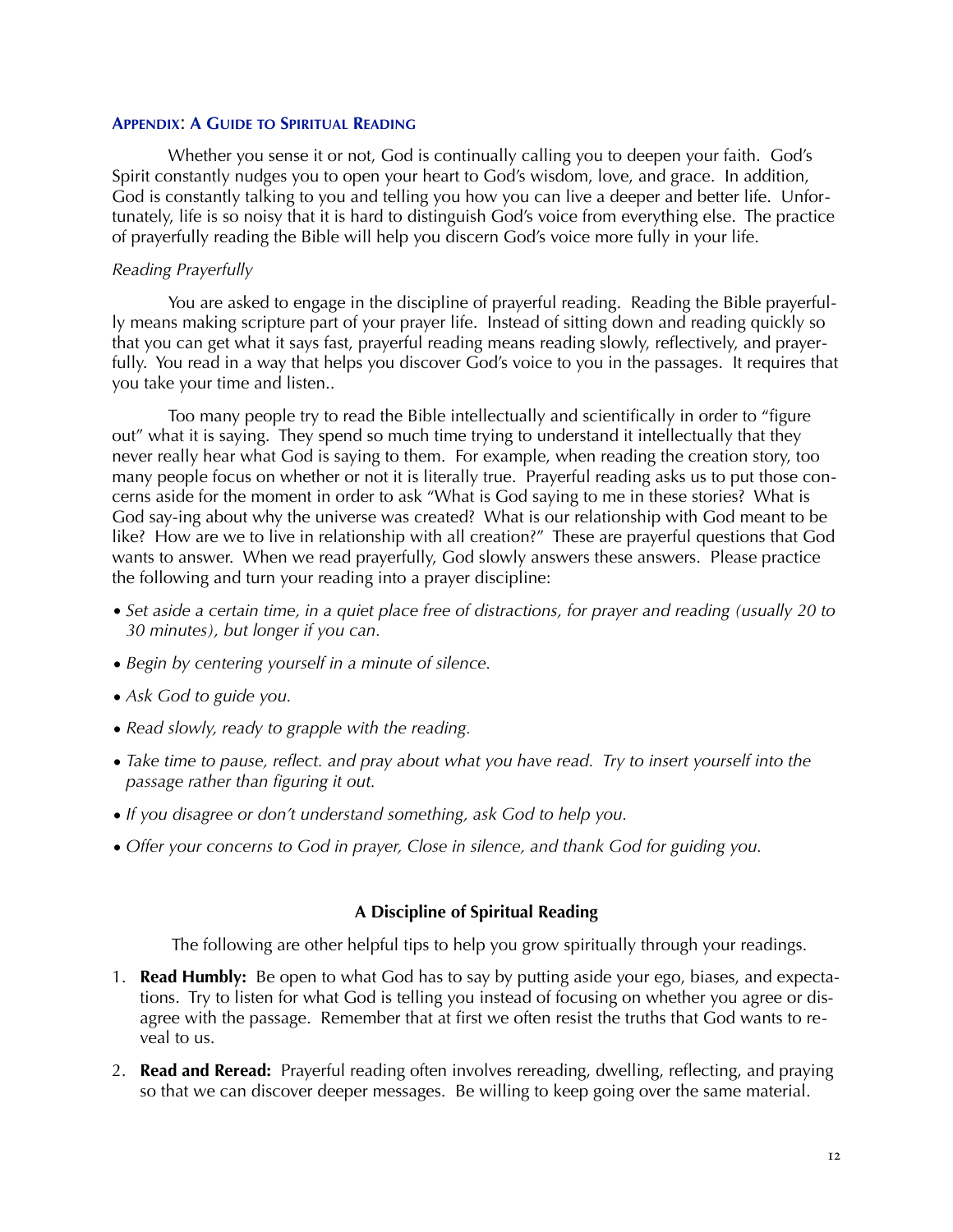#### **APPENDIX**: **A GUIDE TO SPIRITUAL READING**

 Whether you sense it or not, God is continually calling you to deepen your faith. God's Spirit constantly nudges you to open your heart to God's wisdom, love, and grace. In addition, God is constantly talking to you and telling you how you can live a deeper and better life. Unfortunately, life is so noisy that it is hard to distinguish God's voice from everything else. The practice of prayerfully reading the Bible will help you discern God's voice more fully in your life.

#### *Reading Prayerfully*

 You are asked to engage in the discipline of prayerful reading. Reading the Bible prayerfully means making scripture part of your prayer life. Instead of sitting down and reading quickly so that you can get what it says fast, prayerful reading means reading slowly, reflectively, and prayerfully. You read in a way that helps you discover God's voice to you in the passages. It requires that you take your time and listen..

 Too many people try to read the Bible intellectually and scientifically in order to "figure out" what it is saying. They spend so much time trying to understand it intellectually that they never really hear what God is saying to them. For example, when reading the creation story, too many people focus on whether or not it is literally true. Prayerful reading asks us to put those concerns aside for the moment in order to ask "What is God saying to me in these stories? What is God say-ing about why the universe was created? What is our relationship with God meant to be like? How are we to live in relationship with all creation?" These are prayerful questions that God wants to answer. When we read prayerfully, God slowly answers these answers. Please practice the following and turn your reading into a prayer discipline:

- *Set aside a certain time, in a quiet place free of distractions, for prayer and reading (usually 20 to 30 minutes), but longer if you can.*
- *Begin by centering yourself in a minute of silence.*
- *Ask God to guide you.*
- *Read slowly, ready to grapple with the reading.*
- *Take time to pause, reflect. and pray about what you have read. Try to insert yourself into the passage rather than figuring it out.*
- *If you disagree or don't understand something, ask God to help you.*
- *Offer your concerns to God in prayer, Close in silence, and thank God for guiding you.*

#### **A Discipline of Spiritual Reading**

The following are other helpful tips to help you grow spiritually through your readings.

- 1. **Read Humbly:** Be open to what God has to say by putting aside your ego, biases, and expectations. Try to listen for what God is telling you instead of focusing on whether you agree or disagree with the passage. Remember that at first we often resist the truths that God wants to reveal to us.
- 2. **Read and Reread:** Prayerful reading often involves rereading, dwelling, reflecting, and praying so that we can discover deeper messages. Be willing to keep going over the same material.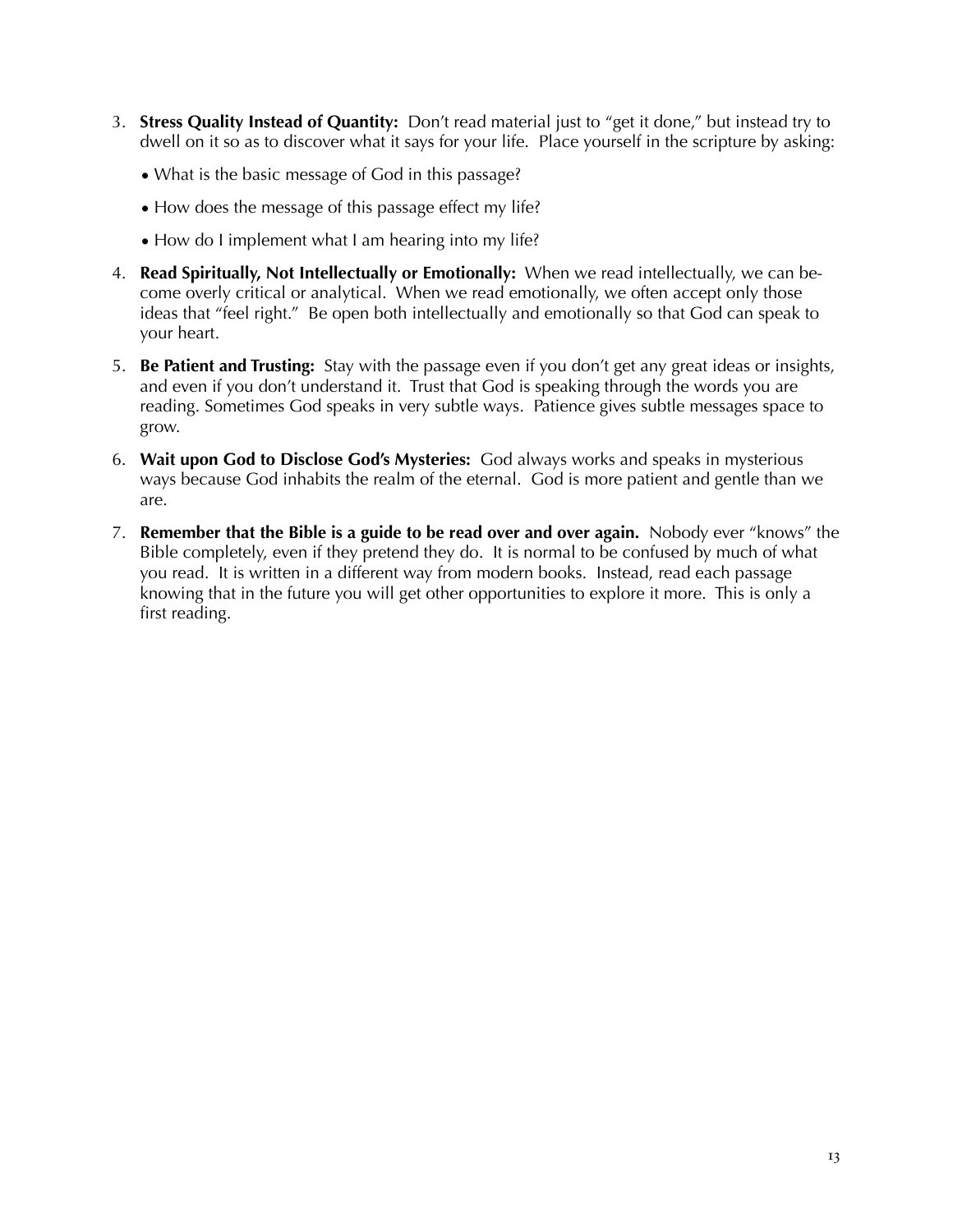- 3. **Stress Quality Instead of Quantity:** Don't read material just to "get it done," but instead try to dwell on it so as to discover what it says for your life. Place yourself in the scripture by asking:
	- What is the basic message of God in this passage?
	- How does the message of this passage effect my life?
	- How do I implement what I am hearing into my life?
- 4. **Read Spiritually, Not Intellectually or Emotionally:** When we read intellectually, we can become overly critical or analytical. When we read emotionally, we often accept only those ideas that "feel right." Be open both intellectually and emotionally so that God can speak to your heart.
- 5. **Be Patient and Trusting:** Stay with the passage even if you don't get any great ideas or insights, and even if you don't understand it. Trust that God is speaking through the words you are reading. Sometimes God speaks in very subtle ways. Patience gives subtle messages space to grow.
- 6. **Wait upon God to Disclose God's Mysteries:** God always works and speaks in mysterious ways because God inhabits the realm of the eternal. God is more patient and gentle than we are.
- 7. **Remember that the Bible is a guide to be read over and over again.** Nobody ever "knows" the Bible completely, even if they pretend they do. It is normal to be confused by much of what you read. It is written in a different way from modern books. Instead, read each passage knowing that in the future you will get other opportunities to explore it more. This is only a first reading.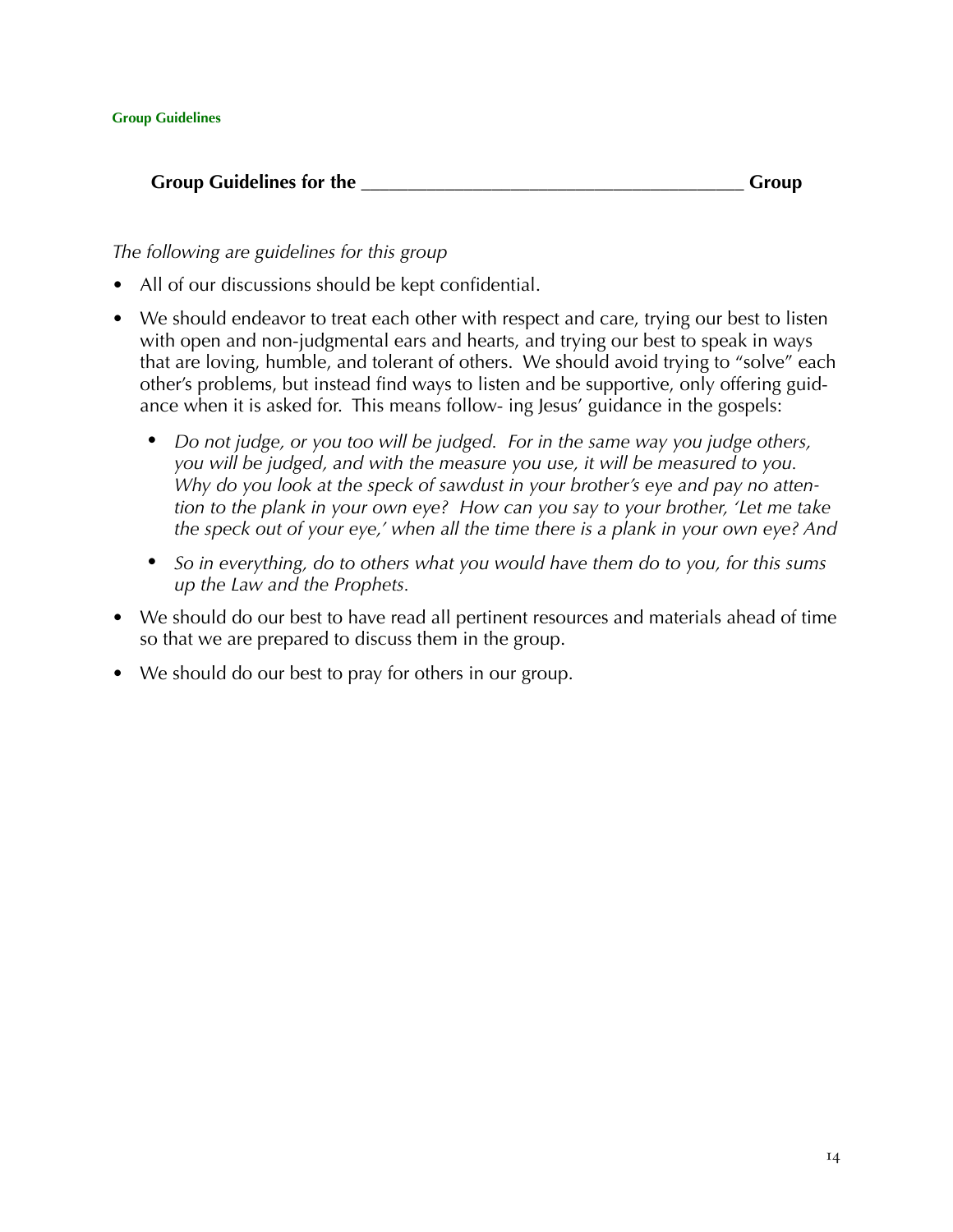# **Group Guidelines for the** <br> **Group Group**

*The following are guidelines for this group*

- All of our discussions should be kept confidential.
- We should endeavor to treat each other with respect and care, trying our best to listen with open and non-judgmental ears and hearts, and trying our best to speak in ways that are loving, humble, and tolerant of others. We should avoid trying to "solve" each other's problems, but instead find ways to listen and be supportive, only offering guidance when it is asked for. This means follow- ing Jesus' guidance in the gospels:
	- *Do not judge, or you too will be judged. For in the same way you judge others, you will be judged, and with the measure you use, it will be measured to you. Why do you look at the speck of sawdust in your brother's eye and pay no attention to the plank in your own eye? How can you say to your brother, 'Let me take the speck out of your eye,' when all the time there is a plank in your own eye? And*
	- *So in everything, do to others what you would have them do to you, for this sums up the Law and the Prophets.*
- We should do our best to have read all pertinent resources and materials ahead of time so that we are prepared to discuss them in the group.
- We should do our best to pray for others in our group.